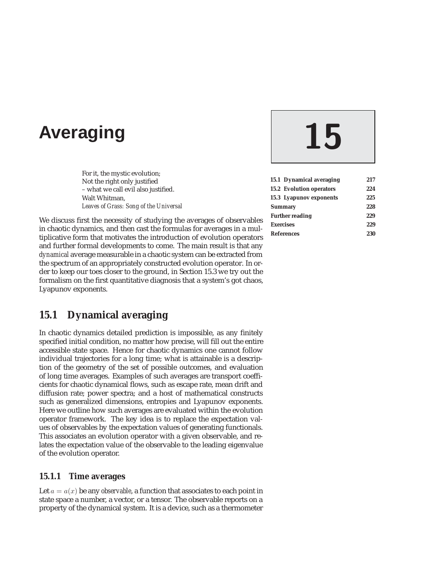# Averaging
15

For it, the mystic evolution; Not the right only justified – what we call evil also justified. Walt Whitman, *Leaves of Grass: Song of the Universal*

We discuss first the necessity of studying the averages of observables in chaotic dynamics, and then cast the formulas for averages in a multiplicative form that motivates the introduction of evolution operators and further formal developments to come. The main result is that any *dynamical* average measurable in a chaotic system can be extracted from the spectrum of an appropriately constructed evolution operator. In order to keep our toes closer to the ground, in Section 15.3 we try out the formalism on the first quantitative diagnosis that a system's got chaos, Lyapunov exponents.

# **15.1 Dynamical averaging**

In chaotic dynamics detailed prediction is impossible, as any finitely specified initial condition, no matter how precise, will fill out the entire accessible state space. Hence for chaotic dynamics one cannot follow individual trajectories for a long time; what is attainable is a description of the geometry of the set of possible outcomes, and evaluation of long time averages. Examples of such averages are transport coefficients for chaotic dynamical flows, such as escape rate, mean drift and diffusion rate; power spectra; and a host of mathematical constructs such as generalized dimensions, entropies and Lyapunov exponents. Here we outline how such averages are evaluated within the evolution operator framework. The key idea is to replace the expectation values of observables by the expectation values of generating functionals. This associates an evolution operator with a given observable, and relates the expectation value of the observable to the leading eigenvalue of the evolution operator.

### **15.1.1 Time averages**

Let  $a = a(x)$  be any *observable*, a function that associates to each point in state space a number, a vector, or a tensor. The observable reports on a property of the dynamical system. It is a device, such as a thermometer

| 15.1 Dynamical averaging        | 217 |
|---------------------------------|-----|
| <b>15.2 Evolution operators</b> | 224 |
| 15.3 Lyapunov exponents         | 225 |
| <b>Summary</b>                  | 228 |
| <b>Further reading</b>          | 229 |
| <b>Exercises</b>                | 229 |
| <b>References</b>               | 230 |
|                                 |     |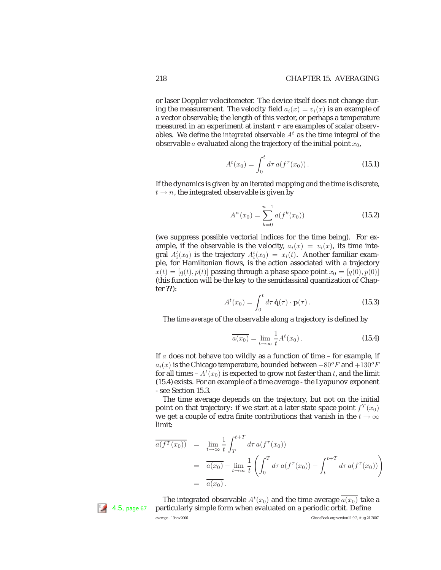#### 218 CHAPTER 15. AVERAGING

or laser Doppler velocitometer. The device itself does not change during the measurement. The velocity field  $a_i(x) = v_i(x)$  is an example of a vector observable; the length of this vector, or perhaps a temperature measured in an experiment at instant  $\tau$  are examples of scalar observables. We define the *integrated observable*  $A<sup>t</sup>$  as the time integral of the observable a evaluated along the trajectory of the initial point  $x_0$ ,

$$
A^{t}(x_0) = \int_0^t d\tau \, a(f^{\tau}(x_0)) \,. \tag{15.1}
$$

If the dynamics is given by an iterated mapping and the time is discrete,  $t \rightarrow n$ , the integrated observable is given by

$$
A^{n}(x_0) = \sum_{k=0}^{n-1} a(f^{k}(x_0))
$$
\n(15.2)

(we suppress possible vectorial indices for the time being). For example, if the observable is the velocity,  $a_i(x) = v_i(x)$ , its time integral  $A_i^t(x_0)$  is the trajectory  $A_i^t(x_0) = x_i(t)$ . Another familiar example, for Hamiltonian flows, is the action associated with a trajectory  $x(t)=[q(t), p(t)]$  passing through a phase space point  $x_0 = [q(0), p(0)]$ (this function will be the key to the semiclassical quantization of Chapter **??**):

$$
A^{t}(x_0) = \int_0^t d\tau \, \dot{\mathbf{q}}(\tau) \cdot \mathbf{p}(\tau) \,. \tag{15.3}
$$

The *time average* of the observable along a trajectory is defined by

$$
\overline{a(x_0)} = \lim_{t \to \infty} \frac{1}{t} A^t(x_0).
$$
 (15.4)

If  $a$  does not behave too wildly as a function of time – for example, if  $a_i(x)$  is the Chicago temperature, bounded between  $-80^\circ F$  and  $+130^\circ F$ for all times –  $A^{t}(x_0)$  is expected to grow not faster than t, and the limit (15.4) exists. For an example of a time average - the Lyapunov exponent - see Section 15.3.

The time average depends on the trajectory, but not on the initial point on that trajectory: if we start at a later state space point  $f^T(x_0)$ we get a couple of extra finite contributions that vanish in the  $t \to \infty$ limit:

$$
\overline{a(f^T(x_0))} = \lim_{t \to \infty} \frac{1}{t} \int_T^{t+T} d\tau \, a(f^T(x_0))
$$
  
= 
$$
\overline{a(x_0)} - \lim_{t \to \infty} \frac{1}{t} \left( \int_0^T d\tau \, a(f^T(x_0)) - \int_t^{t+T} d\tau \, a(f^T(x_0)) \right)
$$
  
= 
$$
\overline{a(x_0)}.
$$



The integrated observable  $A^t(x_0)$  and the time average  $\overline{a(x_0)}$  take a 4.5, page 67 particularly simple form when evaluated on a periodic orbit. Define

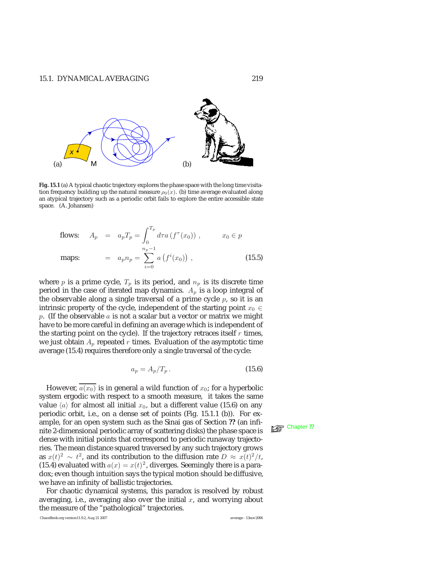

**Fig. 15.1** (a) A typical chaotic trajectory explores the phase space with the long time visitation frequency building up the natural measure  $\rho_0(x)$ . (b) time average evaluated along an atypical trajectory such as a periodic orbit fails to explore the entire accessible state space. (A. Johansen)

flows: 
$$
A_p = a_p T_p = \int_0^{T_p} d\tau a (f^{\tau}(x_0)), \qquad x_0 \in p
$$
  
\nmaps:  $= a_p n_p = \sum_{i=0}^{n_p - 1} a (f^i(x_0)),$  (15.5)

where p is a prime cycle,  $T_p$  is its period, and  $n_p$  is its discrete time period in the case of iterated map dynamics.  $A_p$  is a loop integral of the observable along a single traversal of a prime cycle  $p$ , so it is an intrinsic property of the cycle, independent of the starting point  $x_0 \in$  $p.$  (If the observable  $a$  is not a scalar but a vector or matrix we might have to be more careful in defining an average which is independent of the starting point on the cycle). If the trajectory retraces itself  $r$  times, we just obtain  $A_p$  repeated r times. Evaluation of the asymptotic time average (15.4) requires therefore only a single traversal of the cycle:

$$
a_p = A_p / T_p. \tag{15.6}
$$

However,  $\overline{a(x_0)}$  is in general a wild function of  $x_0$ ; for a hyperbolic system ergodic with respect to a smooth measure, it takes the same value  $\langle a \rangle$  for almost all initial  $x_0$ , but a different value (15.6) on any periodic orbit, i.e., on a dense set of points (Fig. 15.1.1 (b)). For example, for an open system such as the Sinai gas of Section **??** (an infi-<br>nite 2-dimensional periodic array of scattering disks) the phase space is dense with initial points that correspond to periodic runaway trajectories. The mean distance squared traversed by any such trajectory grows as  $x(t)^2 \sim t^2$ , and its contribution to the diffusion rate  $D \approx x(t)^2/t$ , (15.4) evaluated with  $a(x) = x(t)^2$ , diverges. Seemingly there is a paradox; even though intuition says the typical motion should be diffusive, we have an infinity of ballistic trajectories.

For chaotic dynamical systems, this paradox is resolved by robust averaging, i.e., averaging also over the initial  $x$ , and worrying about the measure of the "pathological" trajectories.

ChaosBook.org version11.9.2, Aug 21 2007 average - 13nov2006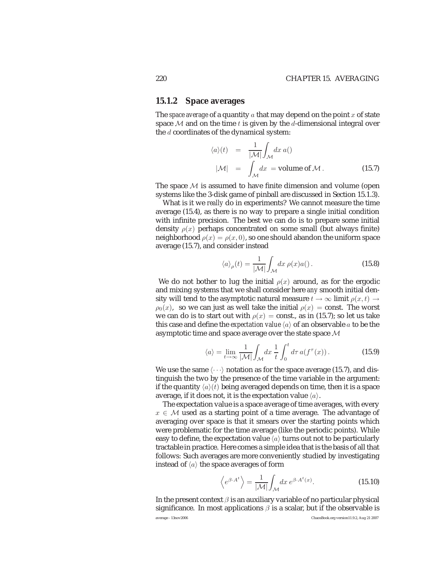#### **15.1.2 Space averages**

The *space average* of a quantity  $a$  that may depend on the point  $x$  of state space  $M$  and on the time t is given by the d-dimensional integral over the  $d$  coordinates of the dynamical system:

$$
\langle a \rangle(t) = \frac{1}{|\mathcal{M}|} \int_{\mathcal{M}} dx \, a()
$$
  

$$
|\mathcal{M}| = \int_{\mathcal{M}} dx = \text{volume of } \mathcal{M}.
$$
 (15.7)

The space  $M$  is assumed to have finite dimension and volume (open systems like the 3-disk game of pinball are discussed in Section 15.1.3).

What is it we *really* do in experiments? We cannot measure the time average (15.4), as there is no way to prepare a single initial condition with infinite precision. The best we can do is to prepare some initial density  $\rho(x)$  perhaps concentrated on some small (but always finite) neighborhood  $\rho(x) = \rho(x, 0)$ , so one should abandon the uniform space average (15.7), and consider instead

$$
\langle a \rangle_{\rho}(t) = \frac{1}{|\mathcal{M}|} \int_{\mathcal{M}} dx \, \rho(x) a(\mathbf{1}). \tag{15.8}
$$

We do not bother to lug the initial  $\rho(x)$  around, as for the ergodic and mixing systems that we shall consider here *any* smooth initial density will tend to the asymptotic natural measure  $t \to \infty$  limit  $\rho(x, t) \to$  $\rho_0(x)$ , so we can just as well take the initial  $\rho(x) = \text{const.}$  The worst we can do is to start out with  $\rho(x) = \text{const.}$ , as in (15.7); so let us take this case and define the *expectation value*  $\langle a \rangle$  of an observable a to be the asymptotic time and space average over the state space M

$$
\langle a \rangle = \lim_{t \to \infty} \frac{1}{|\mathcal{M}|} \int_{\mathcal{M}} dx \, \frac{1}{t} \int_0^t d\tau \, a(f^\tau(x)) \,. \tag{15.9}
$$

We use the same  $\langle \cdots \rangle$  notation as for the space average (15.7), and distinguish the two by the presence of the time variable in the argument: if the quantity  $\langle a \rangle(t)$  being averaged depends on time, then it is a space average, if it does not, it is the expectation value  $\langle a \rangle$ .

The expectation value is a space average of time averages, with every  $x \in M$  used as a starting point of a time average. The advantage of averaging over space is that it smears over the starting points which were problematic for the time average (like the periodic points). While easy to define, the expectation value  $\langle a \rangle$  turns out not to be particularly tractable in practice. Here comes a simple idea that is the basis of all that follows: Such averages are more conveniently studied by investigating instead of  $\langle a \rangle$  the space averages of form

$$
\left\langle e^{\beta \cdot A^t} \right\rangle = \frac{1}{|\mathcal{M}|} \int_{\mathcal{M}} dx \, e^{\beta \cdot A^t(x)}.
$$
 (15.10)

In the present context  $\beta$  is an auxiliary variable of no particular physical significance. In most applications  $\beta$  is a scalar, but if the observable is average - 13nov2006 ChaosBook.org version11.9.2, Aug 21 2007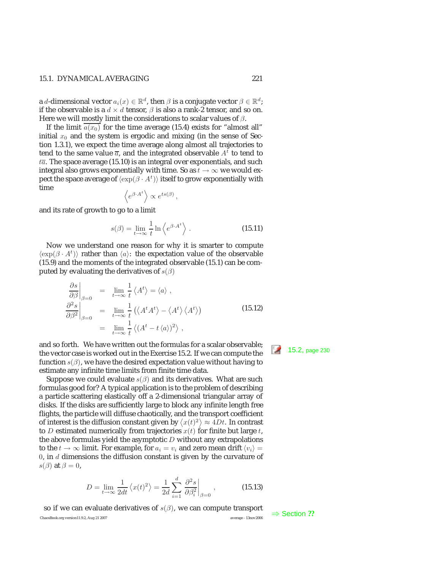#### 15.1. DYNAMICAL AVERAGING 221

a d-dimensional vector  $a_i(x) \in \mathbb{R}^d$ , then  $\beta$  is a conjugate vector  $\beta \in \mathbb{R}^d$ ; if the observable is a  $d \times d$  tensor,  $\beta$  is also a rank-2 tensor, and so on. Here we will mostly limit the considerations to scalar values of  $\beta$ .

If the limit  $\overline{a(x_0)}$  for the time average (15.4) exists for "almost all" initial  $x_0$  and the system is ergodic and mixing (in the sense of Section 1.3.1), we expect the time average along almost all trajectories to tend to the same value  $\overline{a}$ , and the integrated observable  $A<sup>t</sup>$  to tend to  $t\overline{a}$ . The space average (15.10) is an integral over exponentials, and such integral also grows exponentially with time. So as  $t \to \infty$  we would expect the space average of  $\langle \exp(\beta \cdot A^t) \rangle$  itself to grow exponentially with time

$$
\left\langle e^{\beta\cdot A^t}\right\rangle \propto e^{ts(\beta)},
$$

and its rate of growth to go to a limit

$$
s(\beta) = \lim_{t \to \infty} \frac{1}{t} \ln \left\langle e^{\beta \cdot A^t} \right\rangle.
$$
 (15.11)

Now we understand one reason for why it is smarter to compute  $\langle \exp(\beta \cdot A^t) \rangle$  rather than  $\langle a \rangle$ : the expectation value of the observable (15.9) and the moments of the integrated observable (15.1) can be computed by evaluating the derivatives of  $s(\beta)$ 

$$
\frac{\partial s}{\partial \beta}\Big|_{\beta=0} = \lim_{t \to \infty} \frac{1}{t} \langle A^t \rangle = \langle a \rangle,
$$
  
\n
$$
\frac{\partial^2 s}{\partial \beta^2}\Big|_{\beta=0} = \lim_{t \to \infty} \frac{1}{t} \left( \langle A^t A^t \rangle - \langle A^t \rangle \langle A^t \rangle \right)
$$
  
\n
$$
= \lim_{t \to \infty} \frac{1}{t} \langle (A^t - t \langle a \rangle)^2 \rangle,
$$
\n(15.12)

and so forth. We have written out the formulas for a scalar observable;<br>the vector case is worked out in the Exercise 15.2. If we can compute the 15.2, page 230 function  $s(\beta)$ , we have the desired expectation value without having to estimate any infinite time limits from finite time data.

Suppose we could evaluate  $s(\beta)$  and its derivatives. What are such formulas good for? A typical application is to the problem of describing a particle scattering elastically off a 2-dimensional triangular array of disks. If the disks are sufficiently large to block any infinite length free flights, the particle will diffuse chaotically, and the transport coefficient of interest is the diffusion constant given by  $\left\langle x(t)^2 \right\rangle \approx 4Dt.$  In contrast to *D* estimated numerically from trajectories  $x(t)$  for finite but large t, the above formulas yield the asymptotic  $D$  without any extrapolations to the  $t \to \infty$  limit. For example, for  $a_i = v_i$  and zero mean drift  $\langle v_i \rangle =$ 0, in  $d$  dimensions the diffusion constant is given by the curvature of  $s(\beta)$  at  $\beta = 0$ ,

$$
D = \lim_{t \to \infty} \frac{1}{2dt} \left\langle x(t)^2 \right\rangle = \frac{1}{2d} \sum_{i=1}^d \left. \frac{\partial^2 s}{\partial \beta_i^2} \right|_{\beta=0}, \quad (15.13)
$$

so if we can evaluate derivatives of  $s(\beta)$ , we can compute transport  $\Rightarrow$  Section ?? ChaosBook.org version11.9.2, Aug 21 2007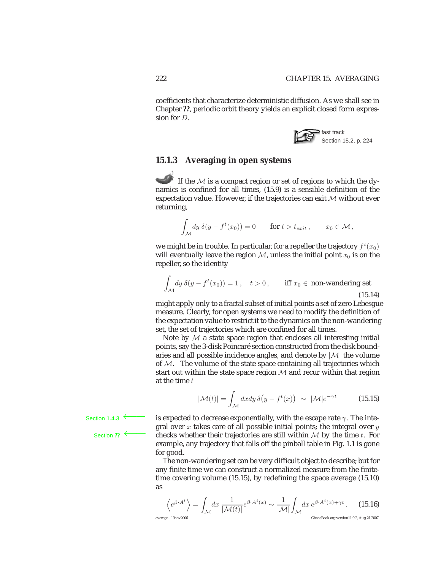coefficients that characterize deterministic diffusion. As we shall see in Chapter **??**, periodic orbit theory yields an explicit closed form expression for D.



## **15.1.3 Averaging in open systems**

If the  $M$  is a compact region or set of regions to which the dynamics is confined for all times, (15.9) is a sensible definition of the expectation value. However, if the trajectories can exit  $M$  without ever returning,

$$
\int_{\mathcal{M}} dy \, \delta(y - f^t(x_0)) = 0 \qquad \text{for } t > t_{exit}, \qquad x_0 \in \mathcal{M},
$$

we might be in trouble. In particular, for a repeller the trajectory  $f^t(x_0)$ will eventually leave the region  $M$ , unless the initial point  $x_0$  is on the repeller, so the identity

$$
\int_{\mathcal{M}} dy \, \delta(y - f^t(x_0)) = 1, \quad t > 0, \quad \text{iff } x_0 \in \text{non-wandering set} \tag{15.14}
$$

might apply only to a fractal subset of initial points a set of zero Lebesgue measure. Clearly, for open systems we need to modify the definition of the expectation value to restrict it to the dynamics on the non-wandering set, the set of trajectories which are confined for all times.

Note by  $M$  a state space region that encloses all interesting initial points, say the 3-disk Poincaré section constructed from the disk boundaries and all possible incidence angles, and denote by  $|M|$  the volume of  $M$ . The volume of the state space containing all trajectories which start out within the state space region  $M$  and recur within that region at the time  $t$ 

$$
|\mathcal{M}(t)| = \int_{\mathcal{M}} dx dy \, \delta\big(y - f^t(x)\big) \, \sim \, |\mathcal{M}| e^{-\gamma t} \tag{15.15}
$$

Section 1.4.3 ← is expected to decrease exponentially, with the escape rate  $\gamma$ . The integral over  $x$  takes care of all possible initial points; the integral over  $y$ Section ?? ← $\leftarrow$  checks whether their trajectories are still within *M* by the time *t*. For example, any trajectory that falls off the pinball table in Fig. 1.1 is gone for good.

> The non-wandering set can be very difficult object to describe; but for any finite time we can construct a normalized measure from the finitetime covering volume (15.15), by redefining the space average (15.10) as

$$
\left\langle e^{\beta \cdot A^t} \right\rangle = \int_{\mathcal{M}} dx \, \frac{1}{|\mathcal{M}(t)|} e^{\beta \cdot A^t(x)} \sim \frac{1}{|\mathcal{M}|} \int_{\mathcal{M}} dx \, e^{\beta \cdot A^t(x) + \gamma t} \,. \tag{15.16}
$$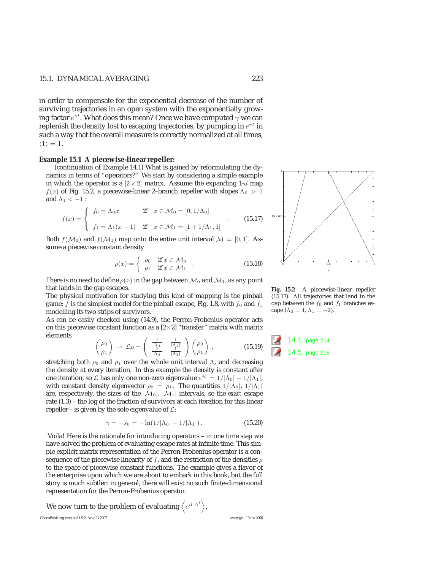in order to compensate for the exponential decrease of the number of surviving trajectories in an open system with the exponentially growing factor  $e^{\gamma t}$ . What does this mean? Once we have computed  $\gamma$  we can replenish the density lost to escaping trajectories, by pumping in  $e^{\gamma t}$  in such a way that the overall measure is correctly normalized at all times,  $\langle 1 \rangle = 1.$ 

#### **Example 15.1 A piecewise-linear repeller:**

(continuation of Example 14.1) What is gained by reformulating the dynamics in terms of "operators?" We start by considering a simple example in which the operator is a  $[2 \times 2]$  matrix. Assume the expanding 1-d map  $f(x)$  of Fig. 15.2, a piecewise-linear 2-branch repeller with slopes  $\Lambda_0 > 1$ and  $\Lambda_1 < -1$  :

$$
f(x) = \begin{cases} f_0 = \Lambda_0 x & \text{if } x \in \mathcal{M}_0 = [0, 1/\Lambda_0] \\ f_1 = \Lambda_1 (x - 1) & \text{if } x \in \mathcal{M}_1 = [1 + 1/\Lambda_1, 1] \end{cases}
$$
(15.17)

Both  $f(\mathcal{M}_0)$  and  $f(\mathcal{M}_1)$  map onto the entire unit interval  $\mathcal{M} = [0, 1]$ . Assume a piecewise constant density

$$
\rho(x) = \begin{cases} \rho_0 & \text{if } x \in \mathcal{M}_0 \\ \rho_1 & \text{if } x \in \mathcal{M}_1 \end{cases} . \tag{15.18}
$$

There is no need to define  $\rho(x)$  in the gap between  $\mathcal{M}_0$  and  $\mathcal{M}_1$ , as any point that lands in the gap escapes.

The physical motivation for studying this kind of mapping is the pinball game: f is the simplest model for the pinball escape, Fig. 1.8, with  $f_0$  and  $f_1$ modelling its two strips of survivors.

As can be easily checked using (14.9), the Perron-Frobenius operator acts on this piecewise constant function as a  $[2\times2]$  "transfer" matrix with matrix elements  $\left( \begin{array}{ccc} 0 & \frac{1}{\sqrt{11}} & \frac{1}{\sqrt{11}} \\ 0 & \frac{1}{\sqrt{11}} & \frac{1}{\sqrt{11}} \end{array} \right)$   $\left( \begin{array}{ccc} 0 & \frac{1}{\sqrt{11}} & \frac{1}{\sqrt{11}} \\ 0 & \frac{1}{\sqrt{11}} & \frac{1}{\sqrt{11}} \\ 0 & \frac{1}{\sqrt{11}} & \frac{1}{\sqrt{11}} \end{array} \right)$   $\left( \begin{array}{ccc} 0 & \frac{1}{\sqrt{11}} & \frac{1}{\sqrt{11}}$ 

$$
\begin{pmatrix}\n\rho_0 \\
\rho_1\n\end{pmatrix}\n\rightarrow\n\mathcal{L}\rho = \begin{pmatrix}\n\frac{1}{|\Lambda_0|} & \frac{1}{|\Lambda_1|} \\
\frac{1}{|\Lambda_0|} & \frac{1}{|\Lambda_1|}\n\end{pmatrix}\n\begin{pmatrix}\n\rho_0 \\
\rho_1\n\end{pmatrix},
$$
\n(15.19) (15.10) 14.5, page 215

stretching both  $\rho_0$  and  $\rho_1$  over the whole unit interval  $\Lambda$ , and decreasing the density at every iteration. In this example the density is constant after one iteration, so L has only one non-zero eigenvalue  $e^{s_0} = 1/|\Lambda_0| + 1/|\Lambda_1|$ , with constant density eigenvector  $\rho_0 = \rho_1$ . The quantities  $1/|\Lambda_0|$ ,  $1/|\Lambda_1|$ are, respectively, the sizes of the  $|M_0|$ ,  $|M_1|$  intervals, so the *exact* escape rate (1.3) – the log of the fraction of survivors at each iteration for this linear repeller – is given by the sole eigenvalue of  $\mathcal{L}$ :

$$
\gamma = -s_0 = -\ln(1/|\Lambda_0| + 1/|\Lambda_1|). \tag{15.20}
$$

Voila! Here is the rationale for introducing operators – in one time step we have solved the problem of evaluating escape rates at infinite time. This simple explicit matrix representation of the Perron-Frobenius operator is a consequence of the piecewise linearity of f, and the restriction of the densities  $\rho$ to the space of piecewise constant functions. The example gives a flavor of the enterprise upon which we are about to embark in this book, but the full story is much subtler: in general, there will exist no such finite-dimensional representation for the Perron-Frobenius operator.

# We now turn to the problem of evaluating  $\left\langle e^{\beta\cdot A^{t}}\right\rangle$ .

ChaosBook.org version11.9.2, Aug 21 2007 average - 13nov2006

0 0.5 1 x 0 **Fig. 15.2** A piecewise-linear repeller (15.17): All trajectories that land in the

gap between the  $f_0$  and  $f_1$  branches escape ( $\Lambda_0 = 4$ ,  $\Lambda_1 = -2$ ).

 $f(x)$  0.5

1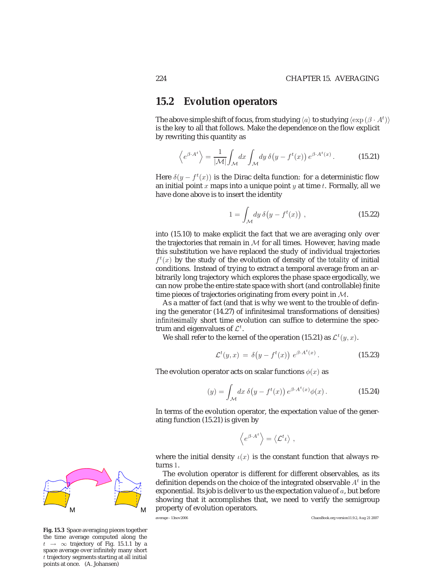# **15.2 Evolution operators**

The above simple shift of focus, from studying  $\langle a \rangle$  to studying  $\langle \exp \left( \beta \cdot A^t \right) \rangle$ is the key to all that follows. Make the dependence on the flow explicit by rewriting this quantity as

$$
\left\langle e^{\beta \cdot A^t} \right\rangle = \frac{1}{|\mathcal{M}|} \int_{\mathcal{M}} dx \int_{\mathcal{M}} dy \, \delta\big(y - f^t(x)\big) \, e^{\beta \cdot A^t(x)} \,. \tag{15.21}
$$

Here  $\delta(y - f^t(x))$  is the Dirac delta function: for a deterministic flow an initial point  $x$  maps into a unique point  $y$  at time  $t$ . Formally, all we have done above is to insert the identity

$$
1 = \int_{\mathcal{M}} dy \, \delta\big(y - f^t(x)\big) , \qquad (15.22)
$$

into (15.10) to make explicit the fact that we are averaging only over the trajectories that remain in  $M$  for all times. However, having made this substitution we have replaced the study of individual trajectories  $f<sup>t</sup>(x)$  by the study of the evolution of density of *the totality* of initial conditions. Instead of trying to extract a temporal average from an arbitrarily long trajectory which explores the phase space ergodically, we can now probe the entire state space with short (and controllable) finite time pieces of trajectories originating from every point in  $M$ .

As a matter of fact (and that is why we went to the trouble of defining the generator (14.27) of infinitesimal transformations of densities) *infinitesimally* short time evolution can suffice to determine the spectrum and eigenvalues of  $\mathcal{L}^{t}$ .

We shall refer to the kernel of the operation (15.21) as  $\mathcal{L}^t(y, x)$ .

$$
\mathcal{L}^t(y,x) = \delta\big(y - f^t(x)\big) e^{\beta \cdot A^t(x)}.
$$
 (15.23)

The evolution operator acts on scalar functions  $\phi(x)$  as

$$
(y) = \int_{\mathcal{M}} dx \, \delta\big(y - f^t(x)\big) e^{\beta \cdot A^t(x)} \phi(x) \,. \tag{15.24}
$$

In terms of the evolution operator, the expectation value of the generating function (15.21) is given by

$$
\left\langle e^{\beta \cdot A^t} \right\rangle = \left\langle \mathcal{L}^t \iota \right\rangle ,
$$

where the initial density  $\iota(x)$  is the constant function that always returns 1.

The evolution operator is different for different observables, as its definition depends on the choice of the integrated observable  $A<sup>t</sup>$  in the exponential. Its job is deliver to us the expectation value of  $a$ , but before showing that it accomplishes that, we need to verify the semigroup property of evolution operators.



**Fig. 15.3** Space averaging pieces together the time average computed along the  $t \rightarrow \infty$  trajectory of Fig. 15.1.1 by a space average over infinitely many short  $t$  trajectory segments starting at all initial points at once. (A. Johansen)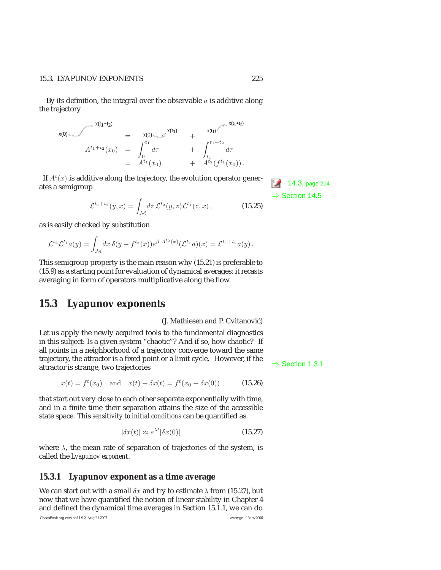By its definition, the integral over the observable  $a$  is additive along the trajectory

x(t1+t2)  $x(0)$  =  $x(0)$  x(t<sub>1</sub>) + x(t1+t2) x(t1)  $A^{t_1+t_2}(x_0) = \int_0^{t_1}$ d $\tau$  +  $\int_{0}^{t_1+t_2}$  $t_1$  $d\tau$  $= A^{t_1}(x_0) + A^{t_2}(f^{t_1}(x_0)).$ 

If  $A^t(x)$  is additive along the trajectory, the evolution operator gener-<br>ates a semigroup 14.3, page 214

$$
\mathcal{L}^{t_1+t_2}(y,x) = \int_{\mathcal{M}} dz \, \mathcal{L}^{t_2}(y,z) \mathcal{L}^{t_1}(z,x) \,, \tag{15.25}
$$

as is easily checked by substitution

$$
\mathcal{L}^{t_2} \mathcal{L}^{t_1} a(y) = \int_{\mathcal{M}} dx \, \delta(y - f^{t_2}(x)) e^{\beta \cdot A^{t_2}(x)} (\mathcal{L}^{t_1} a)(x) = \mathcal{L}^{t_1 + t_2} a(y) \, .
$$

This semigroup property is the main reason why (15.21) is preferable to (15.9) as a starting point for evaluation of dynamical averages: it recasts averaging in form of operators multiplicative along the flow.

# **15.3 Lyapunov exponents**

(J. Mathiesen and P. Cvitanović)

Let us apply the newly acquired tools to the fundamental diagnostics in this subject: Is a given system "chaotic"? And if so, how chaotic? If all points in a neighborhood of a trajectory converge toward the same trajectory, the attractor is a fixed point or a limit cycle. However, if the  $\Rightarrow$  Section 1.3.1 attractor is strange, two trajectories

$$
x(t) = ft(x0)
$$
 and  $x(t) + \delta x(t) = ft(x0 + \delta x(0))$  (15.26)

that start out very close to each other separate exponentially with time, and in a finite time their separation attains the size of the accessible state space. This *sensitivity to initial conditions* can be quantified as

$$
|\delta x(t)| \approx e^{\lambda t} |\delta x(0)| \tag{15.27}
$$

where  $\lambda$ , the mean rate of separation of trajectories of the system, is called the *Lyapunov exponent*.

#### **15.3.1 Lyapunov exponent as a time average**

We can start out with a small  $\delta x$  and try to estimate  $\lambda$  from (15.27), but now that we have quantified the notion of linear stability in Chapter 4 and defined the dynamical time averages in Section 15.1.1, we can do

ChaosBook.org version11.9.2, Aug 21 2007 average - 13nov2006

⇒ Section 14.5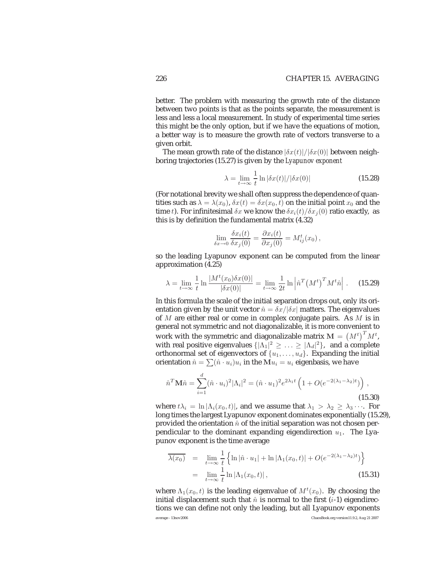better. The problem with measuring the growth rate of the distance between two points is that as the points separate, the measurement is less and less a local measurement. In study of experimental time series this might be the only option, but if we have the equations of motion, a better way is to measure the growth rate of vectors transverse to a given orbit.

The mean growth rate of the distance  $|\delta x(t)|/|\delta x(0)|$  between neighboring trajectories (15.27) is given by the *Lyapunov exponent*

$$
\lambda = \lim_{t \to \infty} \frac{1}{t} \ln |\delta x(t)| / |\delta x(0)| \tag{15.28}
$$

(For notational brevity we shall often suppress the dependence of quantities such as  $\lambda = \lambda(x_0)$ ,  $\delta x(t) = \delta x(x_0, t)$  on the initial point  $x_0$  and the time t). For infinitesimal  $\delta x$  we know the  $\delta x_i(t)/\delta x_i(0)$  ratio exactly, as this is by definition the fundamental matrix (4.32)

$$
\lim_{\delta x \to 0} \frac{\delta x_i(t)}{\delta x_j(0)} = \frac{\partial x_i(t)}{\partial x_j(0)} = M_{ij}^t(x_0),
$$

so the leading Lyapunov exponent can be computed from the linear approximation (4.25)

$$
\lambda = \lim_{t \to \infty} \frac{1}{t} \ln \frac{|M^t(x_0)\delta x(0)|}{|\delta x(0)|} = \lim_{t \to \infty} \frac{1}{2t} \ln \left| \hat{n}^T \left(M^t\right)^T M^t \hat{n} \right| \,. \tag{15.29}
$$

In this formula the scale of the initial separation drops out, only its orientation given by the unit vector  $\hat{n} = \delta x / |\delta x|$  matters. The eigenvalues of  $M$  are either real or come in complex conjugate pairs. As  $M$  is in general not symmetric and not diagonalizable, it is more convenient to work with the symmetric and diagonalizable matrix  $\mathbf{M} = (M^t)^T M^t$ , with real positive eigenvalues  $\{\vert \Lambda_t \vert^2 > \cdots > \vert \Lambda_t \vert^2\}$  and a complete with real positive eigenvalues  $\{|\Lambda_1|^2\geq\ldots\geq|\Lambda_d|^2\},\;$  and a complete orthonormal set of eigenvectors of  $\{u_1, \ldots, u_d\}$ . Expanding the initial orientation  $\hat{n} = \sum (\hat{n} \cdot u_i) u_i$  in the  $\mathbf{M} u_i = u_i$  eigenbasis, we have

$$
\hat{n}^T \mathbf{M} \hat{n} = \sum_{i=1}^d (\hat{n} \cdot u_i)^2 |\Lambda_i|^2 = (\hat{n} \cdot u_1)^2 e^{2\lambda_1 t} \left( 1 + O(e^{-2(\lambda_1 - \lambda_2)t}) \right),
$$
\n(15.30)

where  $t\lambda_i = \ln |\Lambda_i(x_0, t)|$ , and we assume that  $\lambda_1 > \lambda_2 \geq \lambda_3 \cdots$ . For long times the largest Lyapunov exponent dominates exponentially (15.29), provided the orientation  $\hat{n}$  of the initial separation was not chosen perpendicular to the dominant expanding eigendirection  $u_1$ . The Lyapunov exponent is the time average

$$
\overline{\lambda(x_0)} = \lim_{t \to \infty} \frac{1}{t} \left\{ \ln |\hat{n} \cdot u_1| + \ln |\Lambda_1(x_0, t)| + O(e^{-2(\lambda_1 - \lambda_2)t}) \right\}
$$
  
= 
$$
\lim_{t \to \infty} \frac{1}{t} \ln |\Lambda_1(x_0, t)|,
$$
 (15.31)

where  $\Lambda_1(x_0, t)$  is the leading eigenvalue of  $M<sup>t</sup>(x_0)$ . By choosing the initial displacement such that  $\hat{n}$  is normal to the first  $(i-1)$  eigendirections we can define not only the leading, but all Lyapunov exponents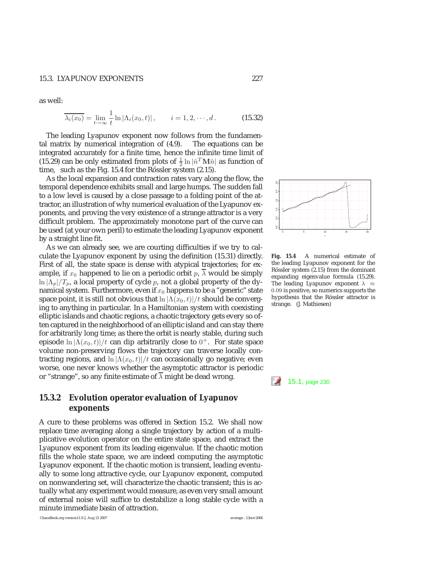as well:

$$
\overline{\lambda_i(x_0)} = \lim_{t \to \infty} \frac{1}{t} \ln |\Lambda_i(x_0, t)|, \qquad i = 1, 2, \cdots, d. \tag{15.32}
$$

The leading Lyapunov exponent now follows from the fundamental matrix by numerical integration of (4.9). The equations can be integrated accurately for a finite time, hence the infinite time limit of (15.29) can be only estimated from plots of  $\frac{1}{2} \ln |\hat{n}^T \mathbf{M}\hat{n}|$  as function of time such as the Fig. 15.4 for the Bössler system (2.15) time, such as the Fig. 15.4 for the Rössler system (2.15).

As the local expansion and contraction rates vary along the flow, the temporal dependence exhibits small and large humps. The sudden fall to a low level is caused by a close passage to a folding point of the attractor, an illustration of why numerical evaluation of the Lyapunov exponents, and proving the very existence of a strange attractor is a very difficult problem. The approximately monotone part of the curve can be used (at your own peril) to estimate the leading Lyapunov exponent by a straight line fit.

As we can already see, we are courting difficulties if we try to calculate the Lyapunov exponent by using the definition (15.31) directly. First of all, the state space is dense with atypical trajectories; for example, if  $x_0$  happened to lie on a periodic orbit p,  $\lambda$  would be simply  $\ln |\Lambda_p|/T_p$ , a local property of cycle p, not a global property of the dynamical system. Furthermore, even if  $x_0$  happens to be a "generic" state space point, it is still not obvious that  $\ln |\Lambda(x_0, t)|/t$  should be converging to anything in particular. In a Hamiltonian system with coexisting elliptic islands and chaotic regions, a chaotic trajectory gets every so often captured in the neighborhood of an elliptic island and can stay there for arbitrarily long time; as there the orbit is nearly stable, during such episode  $\ln |\Lambda(x_0, t)|/t$  can dip arbitrarily close to  $0^+$ . For state space volume non-preserving flows the trajectory can traverse locally contracting regions, and  $\ln |\Lambda(x_0, t)|/t$  can occasionally go negative; even worse, one never knows whether the asymptotic attractor is periodic or "strange", so any finite estimate of  $\overline{\lambda}$  might be dead wrong. 15.1, page 230

### **15.3.2 Evolution operator evaluation of Lyapunov exponents**

A cure to these problems was offered in Section 15.2. We shall now replace time averaging along a single trajectory by action of a multiplicative evolution operator on the entire state space, and extract the Lyapunov exponent from its leading eigenvalue. If the chaotic motion fills the whole state space, we are indeed computing the asymptotic Lyapunov exponent. If the chaotic motion is transient, leading eventually to some long attractive cycle, our Lyapunov exponent, computed on nonwandering set, will characterize the chaotic transient; this is actually what any experiment would measure, as even very small amount of external noise will suffice to destabilize a long stable cycle with a minute immediate basin of attraction.

ChaosBook.org version11.9.2, Aug 21 2007 average - 13nov2006



**Fig. 15.4** A numerical estimate of the leading Lyapunov exponent for the Rössler system (2.15) from the dominant expanding eigenvalue formula (15.29). The leading Lyapunov exponent  $\lambda \approx$ 0.09 is positive, so numerics supports the hypothesis that the Rössler attractor is strange. (J. Mathiesen)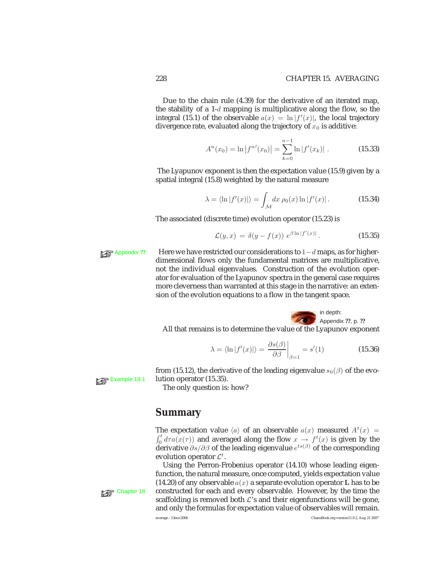Due to the chain rule (4.39) for the derivative of an iterated map, the stability of a 1- $d$  mapping is multiplicative along the flow, so the integral (15.1) of the observable  $a(x) = \ln |f'(x)|$ , the local trajectory divergence rate, evaluated along the trajectory of  $x_0$  is additive:

$$
A^{n}(x_0) = \ln |f^{n'}(x_0)| = \sum_{k=0}^{n-1} \ln |f'(x_k)|.
$$
 (15.33)

The Lyapunov exponent is then the expectation value (15.9) given by a spatial integral (15.8) weighted by the natural measure

$$
\lambda = \langle \ln |f'(x)| \rangle = \int_{\mathcal{M}} dx \, \rho_0(x) \ln |f'(x)| \,. \tag{15.34}
$$

The associated (discrete time) evolution operator (15.23) is

$$
\mathcal{L}(y,x) = \delta(y - f(x)) e^{\beta \ln |f'(x)|}.
$$
 (15.35)

Appendix ?? Here we have restricted our considerations to 1 – d maps, as for higherdimensional flows only the fundamental matrices are multiplicative, not the individual eigenvalues. Construction of the evolution operator for evaluation of the Lyapunov spectra in the general case requires more cleverness than warranted at this stage in the narrative: an extension of the evolution equations to a flow in the tangent space.

> in depth: Appendix **??**, p. **??**

All that remains is to determine the value of the Lyapunov exponent

$$
\lambda = \langle \ln |f'(x)| \rangle = \frac{\partial s(\beta)}{\partial \beta} \bigg|_{\beta=1} = s'(1) \tag{15.36}
$$

from (15.12), the derivative of the leading eigenvalue  $s_0(\beta)$  of the evo-Example 18.1 lution operator  $(15.35)$ .

The only question is: how?

# **Summary**

The expectation value  $\langle a \rangle$  of an observable  $a(x)$  measured  $A^t(x) =$  $\int_0^t d\tau a(x(\tau))$  and averaged along the flow  $x \to f^t(x)$  is given by the derivative  $\partial s/\partial \beta$  of the leading eigenvalue  $e^{ts(\beta)}$  of the corresponding evolution operator  $\mathcal{L}^t$ .

Using the Perron-Frobenius operator (14.10) whose leading eigenfunction, the natural measure, once computed, yields expectation value (14.20) of any observable  $a(x)$  a separate evolution operator **L** has to be Chapter 18 constructed for each and every observable. However, by the time the scaffolding is removed both  $\mathcal{L}$ 's and their eigenfunctions will be gone, and only the formulas for expectation value of observables will remain.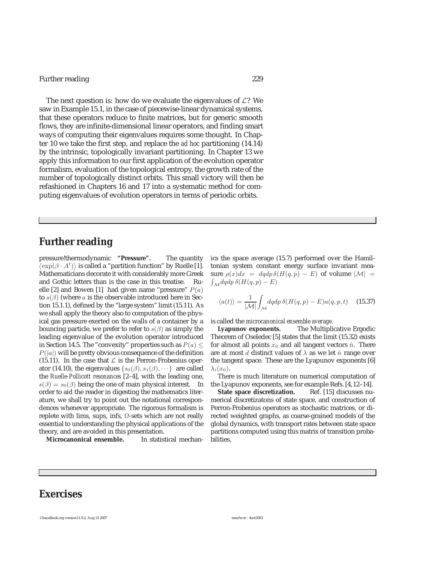Further reading 229

The next question is: how do we evaluate the eigenvalues of  $\mathcal{L}$ ? We saw in Example 15.1, in the case of piecewise-linear dynamical systems, that these operators reduce to finite matrices, but for generic smooth flows, they are infinite-dimensional linear operators, and finding smart ways of computing their eigenvalues requires some thought. In Chapter 10 we take the first step, and replace the *ad hoc* partitioning (14.14) by the intrinsic, topologically invariant partitioning. In Chapter 13 we apply this information to our first application of the evolution operator formalism, evaluation of the topological entropy, the growth rate of the number of topologically distinct orbits. This small victory will then be refashioned in Chapters 16 and 17 into a systematic method for computing eigenvalues of evolution operators in terms of periodic orbits.

# **Further reading**

pressure!thermodynamic **"Pressure".** The quantity  $\chi^2(\exp(\beta \cdot A^t))$  is called a "partition function" by Ruelle [1].<br>Mathematicians decorate it with considerably more Greek ) Mathematicians decorate it with considerably more Greek and Gothic letters than is the case in this treatise. Ruelle [2] and Bowen [1] had given name "pressure"  $P(a)$ to  $s(\beta)$  (where a is the observable introduced here in Section 15.1.1), defined by the "large system" limit (15.11). As we shall apply the theory also to computation of the physical gas pressure exerted on the walls of a container by a bouncing particle, we prefer to refer to  $s(\beta)$  as simply the leading eigenvalue of the evolution operator introduced in Section 14.5. The "convexity" properties such as  $P(a) \leq$  $P(|a|)$  will be pretty obvious consequence of the definition (15.11). In the case that  $\mathcal L$  is the Perron-Frobenius operator (14.10), the eigenvalues  $\{s_0(\beta), s_1(\beta), \cdots\}$  are called the *Ruelle-Pollicott resonances* [2–4], with the leading one,  $s(\beta) = s_0(\beta)$  being the one of main physical interest. In order to aid the reader in digesting the mathematics literature, we shall try to point out the notational correspondences whenever appropriate. The rigorous formalism is replete with lims, sups, infs, Ω-sets which are not really essential to understanding the physical applications of the

theory, and are avoided in this presentation. **Microcanonical ensemble.** 

ics the space average (15.7) performed over the Hamiltonian system constant energy surface invariant measure  $\rho(x)dx = dqdp \delta(H(q, p) - E)$  of volume  $|\mathcal{M}| =$  $\int_{\mathcal{M}} dqdp \, \delta(H(q, p) - E)$ 

$$
\langle a(t) \rangle = \frac{1}{|\mathcal{M}|} \int_{\mathcal{M}} dqdp \, \delta(H(q, p) - E) a(q, p, t) \quad (15.37)
$$

is called the *microcanonical ensemble average*.

**Lyapunov exponents.** The Multiplicative Ergodic Theorem of Oseledec [5] states that the limit (15.32) exists for almost all points  $x_0$  and all tangent vectors  $\hat{n}$ . There are at most d distinct values of  $\lambda$  as we let  $\hat{n}$  range over the tangent space. These are the Lyapunov exponents [6]  $\lambda_i(x_0)$ .

There is much literature on numerical computation of the Lyapunov exponents, see for example Refs. [4,12–14].

State space discretization. Ref. [15] discusses numerical discretizatons of state space, and construction of Perron-Frobenius operators as stochastic matrices, or directed weighted graphs, as coarse-grained models of the global dynamics, with transport rates between state space partitions computed using this matrix of transition probabilities.

# **Exercises**

ChaosBook.org version11.9.2, Aug 21 2007 exerAver - 4oct2003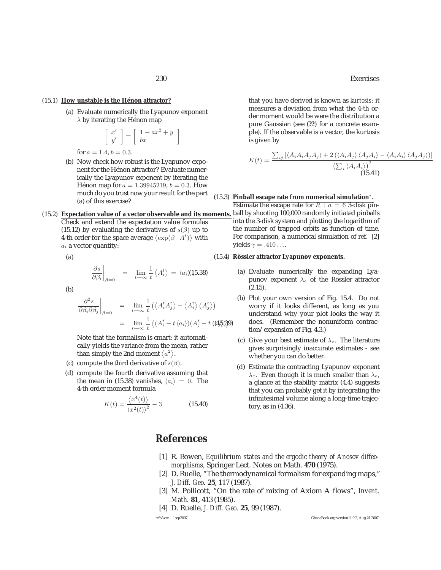#### (15.1) **How unstable is the H´enon attractor?**

(a) Evaluate numerically the Lyapunov exponent  $\lambda$  by iterating the Hénon map

$$
\left[\begin{array}{c} x' \\ y' \end{array}\right] = \left[\begin{array}{c} 1 - ax^2 + y \\ bx \end{array}\right]
$$

for  $a = 1.4$ ,  $b = 0.3$ .

- (b) Now check how robust is the Lyapunov exponent for the Hénon attractor? Evaluate numerically the Lyapunov exponent by iterating the Hénon map for  $a = 1.39945219$ ,  $b = 0.3$ . How much do you trust now your result for the part (a) of this exercise?
- (15.2) **Expectation value of a vector observable and its moments.** ball by shooting 100,000 randomly initiated pinballs Check and extend the expectation value formulas (15.12) by evaluating the derivatives of  $s(\beta)$  up to 4-th order for the space average  $\langle \exp(\beta \cdot A^t) \rangle$  with  $a_i$  a vector quantity:

(a)

$$
\left.\frac{\partial s}{\partial \beta_i}\right|_{\beta=0} = \lim_{t \to \infty} \frac{1}{t} \left\langle A_i^t \right\rangle = \left\langle a_i \right\rangle(15.38)
$$

(b)

$$
\frac{\partial^2 s}{\partial \beta_i \partial \beta_j}\Big|_{\beta=0} = \lim_{t \to \infty} \frac{1}{t} \left( \langle A_i^t A_j^t \rangle - \langle A_i^t \rangle \langle A_j^t \rangle \right)
$$

$$
= \lim_{t \to \infty} \frac{1}{t} \left( \langle A_i^t - t \langle a_i \rangle \rangle \langle A_j^t - t \langle \mathbf{d}_i \mathbf{\hat{y}} \rangle \mathbf{\hat{y}} \mathbf{\hat{y}} \rangle \right)
$$

Note that the formalism is cmart: it automatically yields the *variance* from the mean, rather than simply the 2nd moment  $\langle a^2 \rangle$ .

- (c) compute the third derivative of  $s(\beta)$ .
- (d) compute the fourth derivative assuming that the mean in (15.38) vanishes,  $\langle a_i \rangle = 0$ . The 4-th order moment formula

$$
K(t) = \frac{\langle x^4(t) \rangle}{\langle x^2(t) \rangle^2} - 3
$$
 (15.40)

that you have derived is known as *kurtosis*: it measures a deviation from what the 4-th order moment would be were the distribution a pure Gaussian (see (**??**) for a concrete example). If the observable is a vector, the kurtosis is given by

$$
K(t) = \frac{\sum_{ij} \left[ \langle A_i A_i A_j A_j \rangle + 2 \left( \langle A_i A_j \rangle \langle A_j A_i \rangle - \langle A_i A_i \rangle \langle A_j A_j \rangle \right) \right]}{\left( \sum_i \langle A_i A_i \rangle \right)^2}
$$
\n(15.41)

#### (15.3) **Pinball escape rate from numerical simulation**<sup>∗</sup>**.**

Estimate the escape rate for  $R : a = 6$  3-disk pininto the 3-disk system and plotting the logarithm of the number of trapped orbits as function of time. For comparison, a numerical simulation of ref. [2] yields  $\gamma = .410...$ 

#### (15.4) **R ¨ossler attractor Lyapunov exponents.**

- (a) Evaluate numerically the expanding Lyapunov exponent  $\lambda_e$  of the Rössler attractor (2.15).
- (b) Plot your own version of Fig. 15.4. Do not worry if it looks different, as long as you understand why your plot looks the way it does. (Remember the nonuniform contraction/expansion of Fig. 4.3.)
- (c) Give your best estimate of  $\lambda_e$ . The literature gives surprisingly inaccurate estimates - see whether you can do better.
- (d) Estimate the contracting Lyapunov exponent  $\lambda_c$ . Even though it is much smaller than  $\lambda_e$ , a glance at the stability matrix (4.4) suggests that you can probably get it by integrating the infinitesimal volume along a long-time trajectory, as in (4.36).

# **References**

- [1] R. Bowen, *Equilibrium states and the ergodic theory of Anosov diffeomorphisms*, Springer Lect. Notes on Math. **470** (1975).
- [2] D. Ruelle, "The thermodynamical formalism for expanding maps," *J. Diff. Geo.* **25**, 117 (1987).
- [3] M. Pollicott, "On the rate of mixing of Axiom A flows", *Invent. Math.* **81**, 413 (1985).
- [4] D. Ruelle, *J. Diff. Geo.* **25**, 99 (1987).

refsAver - 1sep2007 ChaosBook.org version11.9.2, Aug 21 2007